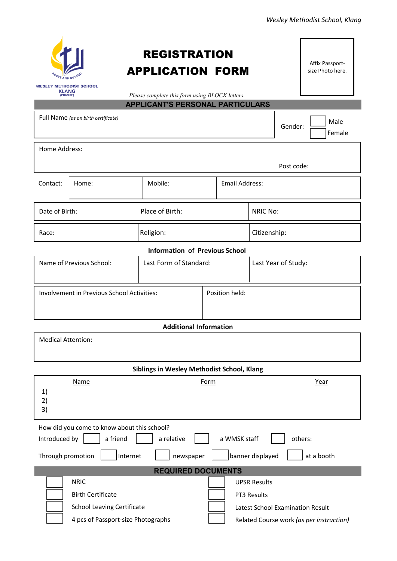|                                                             |                                                         |                                                                                           |                       |                     |                                  | Wesley Methodist School, Klang           |
|-------------------------------------------------------------|---------------------------------------------------------|-------------------------------------------------------------------------------------------|-----------------------|---------------------|----------------------------------|------------------------------------------|
|                                                             |                                                         | <b>REGISTRATION</b><br><b>APPLICATION FORM</b>                                            |                       |                     |                                  | Affix Passport-<br>size Photo here.      |
| <b>WESLEY METHODIST SCHOOL</b><br><b>KLANG</b><br>(PRIVATE) |                                                         | Please complete this form using BLOCK letters.<br><b>APPLICANT'S PERSONAL PARTICULARS</b> |                       |                     |                                  |                                          |
|                                                             | Full Name (as on birth certificate)                     |                                                                                           |                       |                     | Gender:                          | Male<br>Female                           |
| Home Address:                                               |                                                         |                                                                                           |                       |                     |                                  |                                          |
|                                                             |                                                         |                                                                                           |                       |                     | Post code:                       |                                          |
| Contact:                                                    | Home:                                                   | Mobile:                                                                                   | <b>Email Address:</b> |                     |                                  |                                          |
| Date of Birth:                                              |                                                         | Place of Birth:                                                                           |                       | NRIC No:            |                                  |                                          |
| Race:                                                       |                                                         | Religion:                                                                                 |                       | Citizenship:        |                                  |                                          |
|                                                             |                                                         | <b>Information of Previous School</b>                                                     |                       |                     |                                  |                                          |
|                                                             | Name of Previous School:                                | Last Form of Standard:                                                                    |                       | Last Year of Study: |                                  |                                          |
|                                                             | Involvement in Previous School Activities:              |                                                                                           | Position held:        |                     |                                  |                                          |
|                                                             |                                                         | <b>Additional Information</b>                                                             |                       |                     |                                  |                                          |
| <b>Medical Attention:</b>                                   |                                                         |                                                                                           |                       |                     |                                  |                                          |
|                                                             |                                                         | Siblings in Wesley Methodist School, Klang                                                |                       |                     |                                  |                                          |
| Year<br><b>Name</b><br>Form<br>1)<br>2)<br>3)               |                                                         |                                                                                           |                       |                     |                                  |                                          |
| Introduced by                                               | How did you come to know about this school?<br>a friend | a relative                                                                                | a WMSK staff          |                     | others:                          |                                          |
| Through promotion                                           | Internet                                                | newspaper                                                                                 |                       | banner displayed    |                                  | at a booth                               |
|                                                             |                                                         | <b>REQUIRED DOCUMENTS</b>                                                                 |                       |                     |                                  |                                          |
|                                                             | <b>NRIC</b>                                             |                                                                                           |                       | <b>UPSR Results</b> |                                  |                                          |
|                                                             | <b>Birth Certificate</b>                                |                                                                                           |                       | PT3 Results         |                                  |                                          |
|                                                             | <b>School Leaving Certificate</b>                       |                                                                                           |                       |                     | Latest School Examination Result |                                          |
|                                                             | 4 pcs of Passport-size Photographs                      |                                                                                           |                       |                     |                                  | Related Course work (as per instruction) |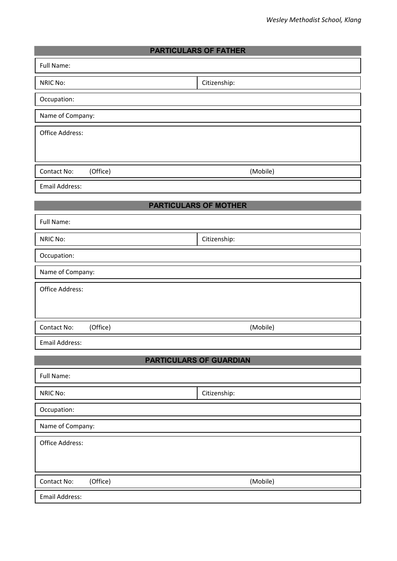|                         | Wesley Methodist School, Klang |
|-------------------------|--------------------------------|
|                         |                                |
|                         | <b>PARTICULARS OF FATHER</b>   |
| Full Name:              |                                |
| <b>NRIC No:</b>         | Citizenship:                   |
| Occupation:             |                                |
| Name of Company:        |                                |
| Office Address:         |                                |
|                         |                                |
| (Office)<br>Contact No: | (Mobile)                       |
| <b>Email Address:</b>   |                                |
|                         | <b>PARTICULARS OF MOTHER</b>   |
| Full Name:              |                                |
| <b>NRIC No:</b>         | Citizenship:                   |
| Occupation:             |                                |
| Name of Company:        |                                |
| Office Address:         |                                |
|                         |                                |
| (Office)<br>Contact No: | (Mobile)                       |
| <b>Email Address:</b>   |                                |
|                         | <b>PARTICULARS OF GUARDIAN</b> |
| Full Name:              |                                |
| <b>NRIC No:</b>         | Citizenship:                   |
| Occupation:             |                                |
| Name of Company:        |                                |
| Office Address:         |                                |
|                         |                                |
| (Office)<br>Contact No: | (Mobile)                       |
| <b>Email Address:</b>   |                                |